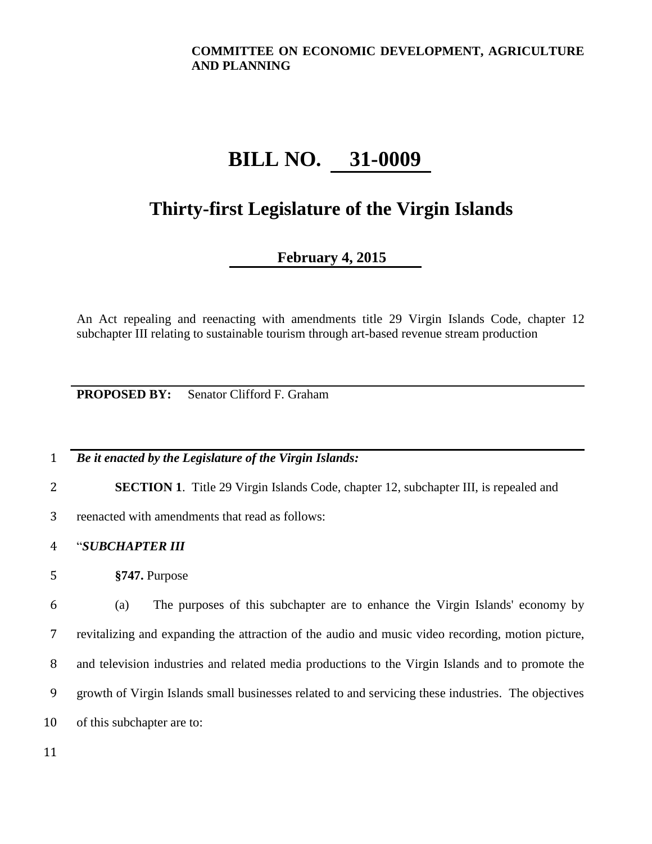# **BILL NO. 31-0009**

## **Thirty-first Legislature of the Virgin Islands**

### **February 4, 2015**

An Act repealing and reenacting with amendments title 29 Virgin Islands Code, chapter 12 subchapter III relating to sustainable tourism through art-based revenue stream production

**PROPOSED BY:** Senator Clifford F. Graham

1 *Be it enacted by the Legislature of the Virgin Islands:*

2 **SECTION 1**. Title 29 Virgin Islands Code, chapter 12, subchapter III, is repealed and

3 reenacted with amendments that read as follows:

4 "*SUBCHAPTER III*

5 **§747.** Purpose

 (a) The purposes of this subchapter are to enhance the Virgin Islands' economy by revitalizing and expanding the attraction of the audio and music video recording, motion picture, and television industries and related media productions to the Virgin Islands and to promote the growth of Virgin Islands small businesses related to and servicing these industries. The objectives of this subchapter are to: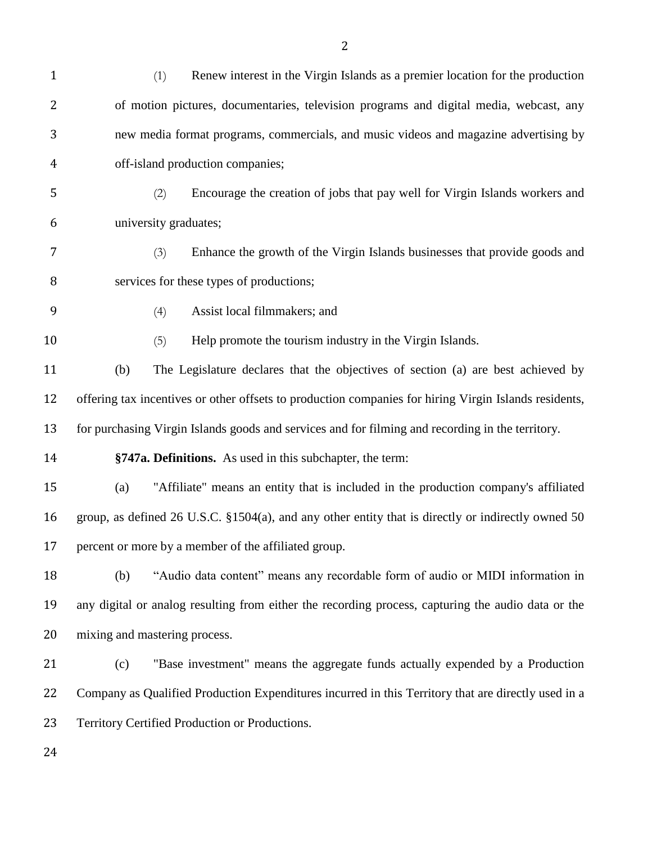| $\mathbf{1}$ | Renew interest in the Virgin Islands as a premier location for the production<br>(1)                  |
|--------------|-------------------------------------------------------------------------------------------------------|
| 2            | of motion pictures, documentaries, television programs and digital media, webcast, any                |
| 3            | new media format programs, commercials, and music videos and magazine advertising by                  |
| 4            | off-island production companies;                                                                      |
| 5            | Encourage the creation of jobs that pay well for Virgin Islands workers and<br>(2)                    |
| 6            | university graduates;                                                                                 |
| 7            | Enhance the growth of the Virgin Islands businesses that provide goods and<br>(3)                     |
| 8            | services for these types of productions;                                                              |
| 9            | Assist local filmmakers; and<br>(4)                                                                   |
| 10           | Help promote the tourism industry in the Virgin Islands.<br>(5)                                       |
| 11           | The Legislature declares that the objectives of section (a) are best achieved by<br>(b)               |
| 12           | offering tax incentives or other offsets to production companies for hiring Virgin Islands residents, |
| 13           | for purchasing Virgin Islands goods and services and for filming and recording in the territory.      |
| 14           | §747a. Definitions. As used in this subchapter, the term:                                             |
| 15           | "Affiliate" means an entity that is included in the production company's affiliated<br>(a)            |
| 16           | group, as defined 26 U.S.C. §1504(a), and any other entity that is directly or indirectly owned 50    |
| 17           | percent or more by a member of the affiliated group.                                                  |
| 18           | "Audio data content" means any recordable form of audio or MIDI information in<br>(b)                 |
| 19           | any digital or analog resulting from either the recording process, capturing the audio data or the    |
| 20           | mixing and mastering process.                                                                         |
| 21           | "Base investment" means the aggregate funds actually expended by a Production<br>(c)                  |
| 22           | Company as Qualified Production Expenditures incurred in this Territory that are directly used in a   |
| 23           | Territory Certified Production or Productions.                                                        |
| 24           |                                                                                                       |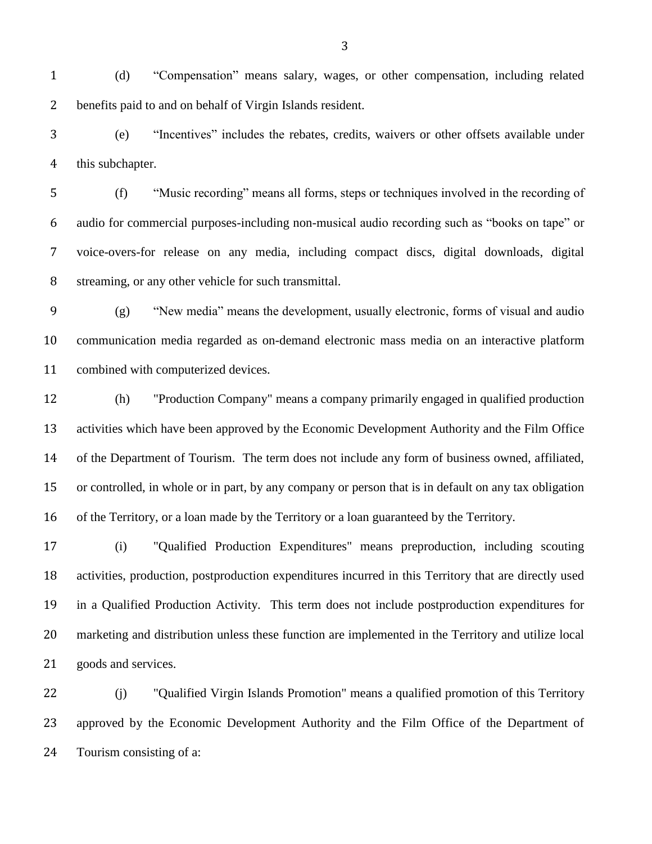(d) "Compensation" means salary, wages, or other compensation, including related benefits paid to and on behalf of Virgin Islands resident.

 (e) "Incentives" includes the rebates, credits, waivers or other offsets available under this subchapter.

 (f) "Music recording" means all forms, steps or techniques involved in the recording of audio for commercial purposes-including non-musical audio recording such as "books on tape" or voice-overs-for release on any media, including compact discs, digital downloads, digital streaming, or any other vehicle for such transmittal.

 (g) "New media" means the development, usually electronic, forms of visual and audio communication media regarded as on-demand electronic mass media on an interactive platform combined with computerized devices.

 (h) "Production Company" means a company primarily engaged in qualified production activities which have been approved by the Economic Development Authority and the Film Office of the Department of Tourism. The term does not include any form of business owned, affiliated, or controlled, in whole or in part, by any company or person that is in default on any tax obligation of the Territory, or a loan made by the Territory or a loan guaranteed by the Territory.

 (i) "Qualified Production Expenditures" means preproduction, including scouting activities, production, postproduction expenditures incurred in this Territory that are directly used in a Qualified Production Activity. This term does not include postproduction expenditures for marketing and distribution unless these function are implemented in the Territory and utilize local goods and services.

 (j) "Qualified Virgin Islands Promotion" means a qualified promotion of this Territory approved by the Economic Development Authority and the Film Office of the Department of Tourism consisting of a: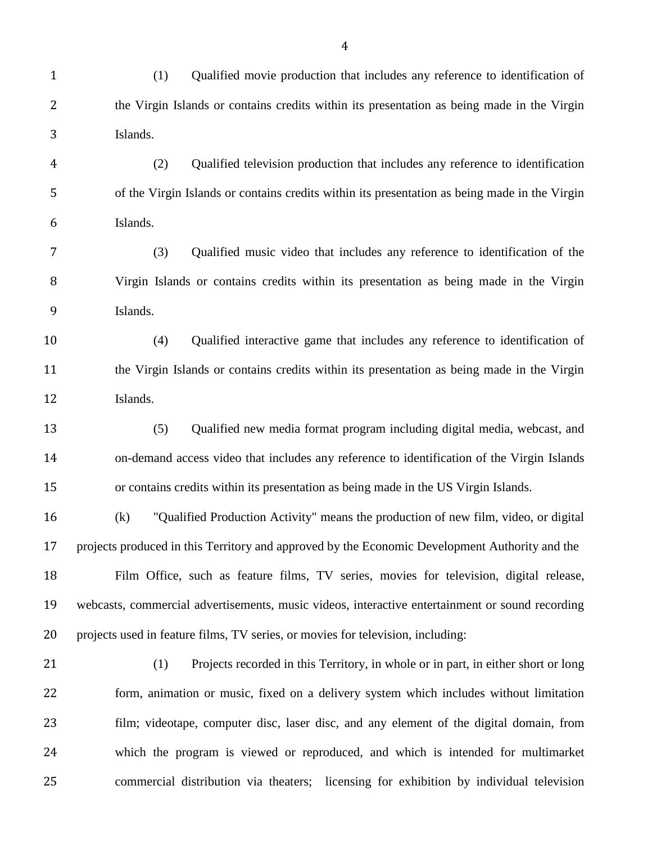- (1) Qualified movie production that includes any reference to identification of the Virgin Islands or contains credits within its presentation as being made in the Virgin Islands.
- (2) Qualified television production that includes any reference to identification of the Virgin Islands or contains credits within its presentation as being made in the Virgin Islands.
- (3) Qualified music video that includes any reference to identification of the Virgin Islands or contains credits within its presentation as being made in the Virgin Islands.
- (4) Qualified interactive game that includes any reference to identification of the Virgin Islands or contains credits within its presentation as being made in the Virgin Islands.
- (5) Qualified new media format program including digital media, webcast, and on-demand access video that includes any reference to identification of the Virgin Islands or contains credits within its presentation as being made in the US Virgin Islands.
- (k) "Qualified Production Activity" means the production of new film, video, or digital projects produced in this Territory and approved by the Economic Development Authority and the Film Office, such as feature films, TV series, movies for television, digital release, webcasts, commercial advertisements, music videos, interactive entertainment or sound recording projects used in feature films, TV series, or movies for television, including:
- 

 (1) Projects recorded in this Territory, in whole or in part, in either short or long form, animation or music, fixed on a delivery system which includes without limitation film; videotape, computer disc, laser disc, and any element of the digital domain, from which the program is viewed or reproduced, and which is intended for multimarket commercial distribution via theaters; licensing for exhibition by individual television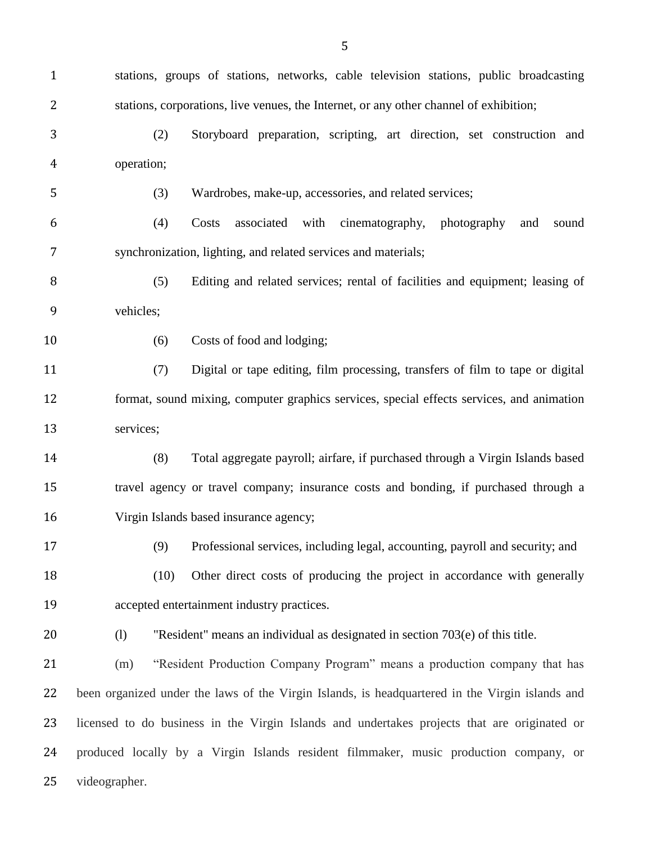stations, groups of stations, networks, cable television stations, public broadcasting stations, corporations, live venues, the Internet, or any other channel of exhibition; (2) Storyboard preparation, scripting, art direction, set construction and operation; (3) Wardrobes, make-up, accessories, and related services; (4) Costs associated with cinematography, photography and sound synchronization, lighting, and related services and materials; (5) Editing and related services; rental of facilities and equipment; leasing of vehicles; 10 (6) Costs of food and lodging; (7) Digital or tape editing, film processing, transfers of film to tape or digital format, sound mixing, computer graphics services, special effects services, and animation services; (8) Total aggregate payroll; airfare, if purchased through a Virgin Islands based travel agency or travel company; insurance costs and bonding, if purchased through a Virgin Islands based insurance agency; (9) Professional services, including legal, accounting, payroll and security; and (10) Other direct costs of producing the project in accordance with generally accepted entertainment industry practices. (l) "Resident" means an individual as designated in section 703(e) of this title. (m) "Resident Production Company Program" means a production company that has been organized under the laws of the Virgin Islands, is headquartered in the Virgin islands and licensed to do business in the Virgin Islands and undertakes projects that are originated or produced locally by a Virgin Islands resident filmmaker, music production company, or videographer.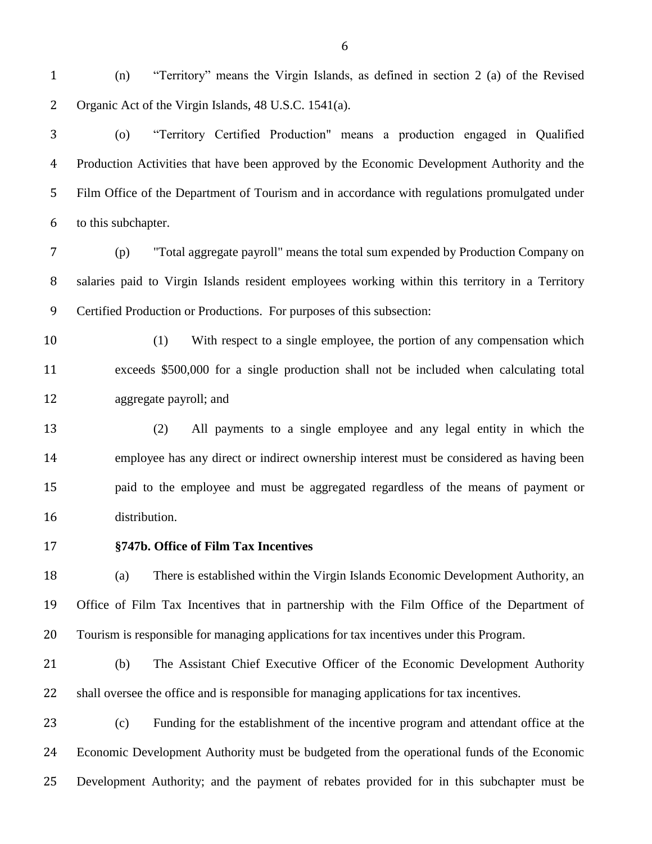(n) "Territory" means the Virgin Islands, as defined in section 2 (a) of the Revised Organic Act of the Virgin Islands, 48 U.S.C. 1541(a).

 (o) "Territory Certified Production" means a production engaged in Qualified Production Activities that have been approved by the Economic Development Authority and the Film Office of the Department of Tourism and in accordance with regulations promulgated under to this subchapter.

 (p) "Total aggregate payroll" means the total sum expended by Production Company on salaries paid to Virgin Islands resident employees working within this territory in a Territory Certified Production or Productions. For purposes of this subsection:

 (1) With respect to a single employee, the portion of any compensation which exceeds \$500,000 for a single production shall not be included when calculating total aggregate payroll; and

 (2) All payments to a single employee and any legal entity in which the employee has any direct or indirect ownership interest must be considered as having been paid to the employee and must be aggregated regardless of the means of payment or distribution.

#### **§747b. Office of Film Tax Incentives**

 (a) There is established within the Virgin Islands Economic Development Authority, an Office of Film Tax Incentives that in partnership with the Film Office of the Department of Tourism is responsible for managing applications for tax incentives under this Program.

 (b) The Assistant Chief Executive Officer of the Economic Development Authority shall oversee the office and is responsible for managing applications for tax incentives.

 (c) Funding for the establishment of the incentive program and attendant office at the Economic Development Authority must be budgeted from the operational funds of the Economic Development Authority; and the payment of rebates provided for in this subchapter must be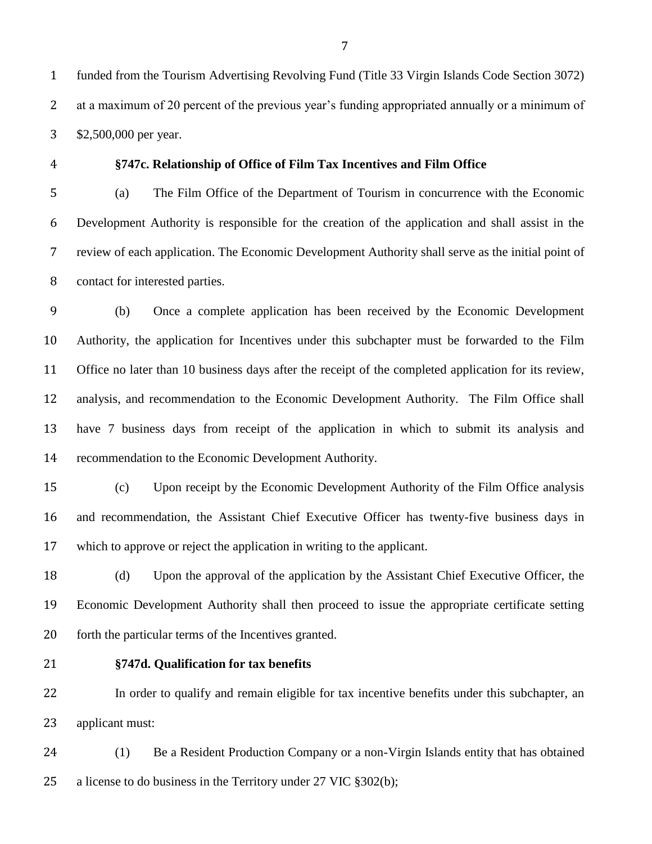funded from the Tourism Advertising Revolving Fund (Title 33 Virgin Islands Code Section 3072) at a maximum of 20 percent of the previous year's funding appropriated annually or a minimum of \$2,500,000 per year.

#### **§747c. Relationship of Office of Film Tax Incentives and Film Office**

 (a) The Film Office of the Department of Tourism in concurrence with the Economic Development Authority is responsible for the creation of the application and shall assist in the review of each application. The Economic Development Authority shall serve as the initial point of contact for interested parties.

 (b) Once a complete application has been received by the Economic Development Authority, the application for Incentives under this subchapter must be forwarded to the Film Office no later than 10 business days after the receipt of the completed application for its review, analysis, and recommendation to the Economic Development Authority. The Film Office shall have 7 business days from receipt of the application in which to submit its analysis and recommendation to the Economic Development Authority.

 (c) Upon receipt by the Economic Development Authority of the Film Office analysis and recommendation, the Assistant Chief Executive Officer has twenty-five business days in which to approve or reject the application in writing to the applicant.

 (d) Upon the approval of the application by the Assistant Chief Executive Officer, the Economic Development Authority shall then proceed to issue the appropriate certificate setting forth the particular terms of the Incentives granted.

#### **§747d. Qualification for tax benefits**

 In order to qualify and remain eligible for tax incentive benefits under this subchapter, an applicant must:

 (1) Be a Resident Production Company or a non-Virgin Islands entity that has obtained a license to do business in the Territory under 27 VIC §302(b);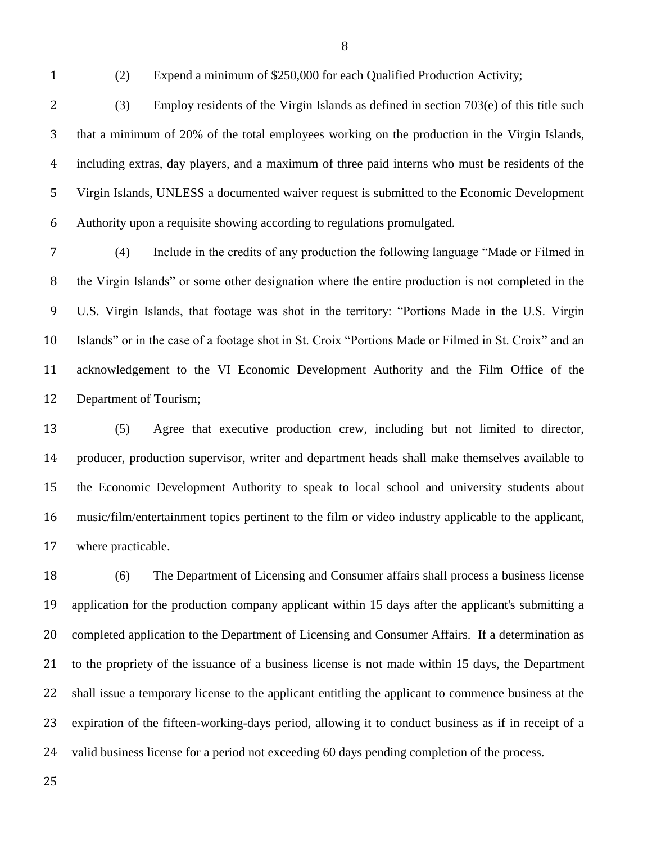(2) Expend a minimum of \$250,000 for each Qualified Production Activity;

 (3) Employ residents of the Virgin Islands as defined in section 703(e) of this title such that a minimum of 20% of the total employees working on the production in the Virgin Islands, including extras, day players, and a maximum of three paid interns who must be residents of the Virgin Islands, UNLESS a documented waiver request is submitted to the Economic Development Authority upon a requisite showing according to regulations promulgated.

 (4) Include in the credits of any production the following language "Made or Filmed in the Virgin Islands" or some other designation where the entire production is not completed in the U.S. Virgin Islands, that footage was shot in the territory: "Portions Made in the U.S. Virgin Islands" or in the case of a footage shot in St. Croix "Portions Made or Filmed in St. Croix" and an acknowledgement to the VI Economic Development Authority and the Film Office of the Department of Tourism;

 (5) Agree that executive production crew, including but not limited to director, producer, production supervisor, writer and department heads shall make themselves available to the Economic Development Authority to speak to local school and university students about music/film/entertainment topics pertinent to the film or video industry applicable to the applicant, where practicable.

 (6) The Department of Licensing and Consumer affairs shall process a business license application for the production company applicant within 15 days after the applicant's submitting a 20 completed application to the Department of Licensing and Consumer Affairs. If a determination as to the propriety of the issuance of a business license is not made within 15 days, the Department shall issue a temporary license to the applicant entitling the applicant to commence business at the expiration of the fifteen-working-days period, allowing it to conduct business as if in receipt of a valid business license for a period not exceeding 60 days pending completion of the process.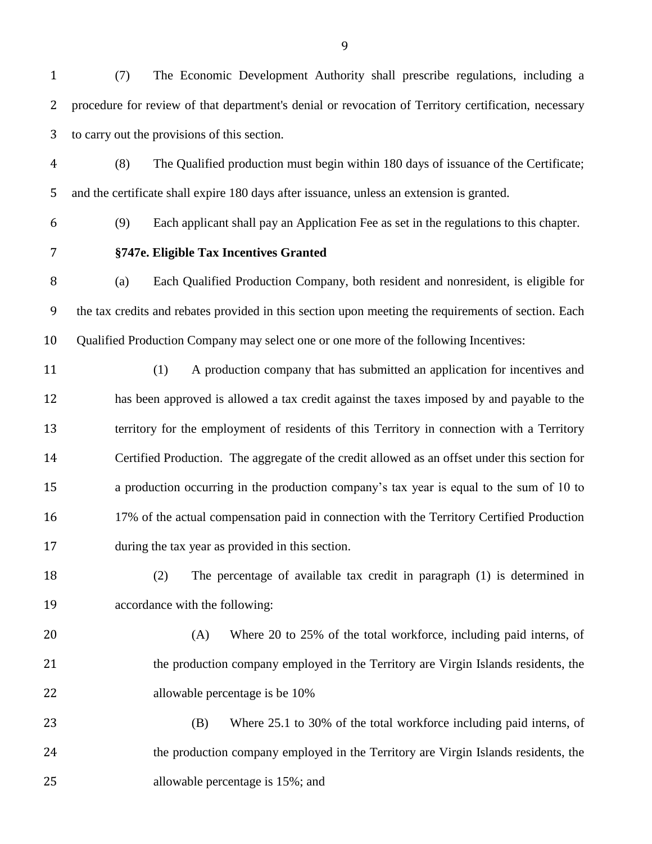(7) The Economic Development Authority shall prescribe regulations, including a procedure for review of that department's denial or revocation of Territory certification, necessary to carry out the provisions of this section.

- (8) The Qualified production must begin within 180 days of issuance of the Certificate; and the certificate shall expire 180 days after issuance, unless an extension is granted.
- 

(9) Each applicant shall pay an Application Fee as set in the regulations to this chapter.

### **§747e. Eligible Tax Incentives Granted**

 (a) Each Qualified Production Company, both resident and nonresident, is eligible for the tax credits and rebates provided in this section upon meeting the requirements of section. Each Qualified Production Company may select one or one more of the following Incentives:

- (1) A production company that has submitted an application for incentives and has been approved is allowed a tax credit against the taxes imposed by and payable to the territory for the employment of residents of this Territory in connection with a Territory Certified Production. The aggregate of the credit allowed as an offset under this section for a production occurring in the production company's tax year is equal to the sum of 10 to 16 17% of the actual compensation paid in connection with the Territory Certified Production during the tax year as provided in this section.
- (2) The percentage of available tax credit in paragraph (1) is determined in accordance with the following:
- (A) Where 20 to 25% of the total workforce, including paid interns, of the production company employed in the Territory are Virgin Islands residents, the allowable percentage is be 10%
- (B) Where 25.1 to 30% of the total workforce including paid interns, of the production company employed in the Territory are Virgin Islands residents, the allowable percentage is 15%; and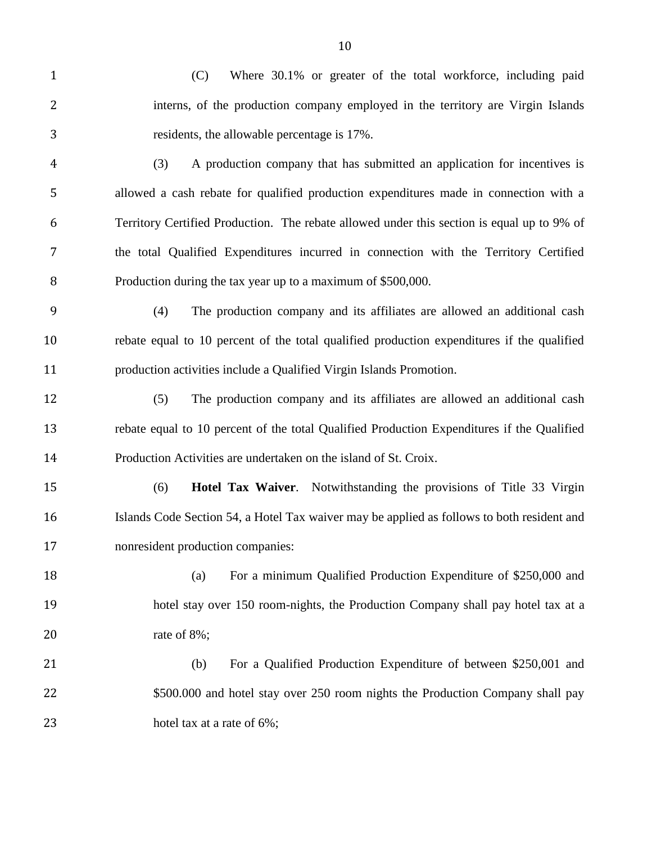(C) Where 30.1% or greater of the total workforce, including paid interns, of the production company employed in the territory are Virgin Islands residents, the allowable percentage is 17%.

- (3) A production company that has submitted an application for incentives is allowed a cash rebate for qualified production expenditures made in connection with a Territory Certified Production. The rebate allowed under this section is equal up to 9% of the total Qualified Expenditures incurred in connection with the Territory Certified Production during the tax year up to a maximum of \$500,000.
- (4) The production company and its affiliates are allowed an additional cash rebate equal to 10 percent of the total qualified production expenditures if the qualified production activities include a Qualified Virgin Islands Promotion.
- (5) The production company and its affiliates are allowed an additional cash rebate equal to 10 percent of the total Qualified Production Expenditures if the Qualified Production Activities are undertaken on the island of St. Croix.
- (6) **Hotel Tax Waiver**. Notwithstanding the provisions of Title 33 Virgin Islands Code Section 54, a Hotel Tax waiver may be applied as follows to both resident and nonresident production companies:
- (a) For a minimum Qualified Production Expenditure of \$250,000 and hotel stay over 150 room-nights, the Production Company shall pay hotel tax at a rate of 8%;
- (b) For a Qualified Production Expenditure of between \$250,001 and 22 \$500.000 and hotel stay over 250 room nights the Production Company shall pay 23 hotel tax at a rate of 6%;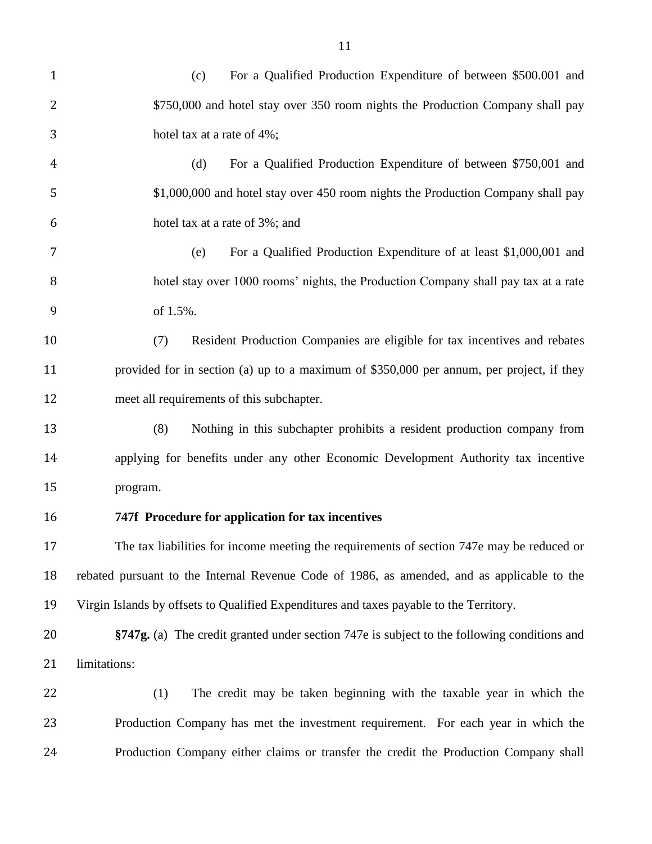(c) For a Qualified Production Expenditure of between \$500.001 and \$750,000 and hotel stay over 350 room nights the Production Company shall pay hotel tax at a rate of 4%; (d) For a Qualified Production Expenditure of between \$750,001 and 5 \$1,000,000 and hotel stay over 450 room nights the Production Company shall pay hotel tax at a rate of 3%; and (e) For a Qualified Production Expenditure of at least \$1,000,001 and hotel stay over 1000 rooms' nights, the Production Company shall pay tax at a rate of 1.5%. (7) Resident Production Companies are eligible for tax incentives and rebates provided for in section (a) up to a maximum of \$350,000 per annum, per project, if they meet all requirements of this subchapter. (8) Nothing in this subchapter prohibits a resident production company from applying for benefits under any other Economic Development Authority tax incentive program. **747f Procedure for application for tax incentives** The tax liabilities for income meeting the requirements of section 747e may be reduced or rebated pursuant to the Internal Revenue Code of 1986, as amended, and as applicable to the Virgin Islands by offsets to Qualified Expenditures and taxes payable to the Territory. **§747g.** (a) The credit granted under section 747e is subject to the following conditions and limitations: (1) The credit may be taken beginning with the taxable year in which the Production Company has met the investment requirement. For each year in which the Production Company either claims or transfer the credit the Production Company shall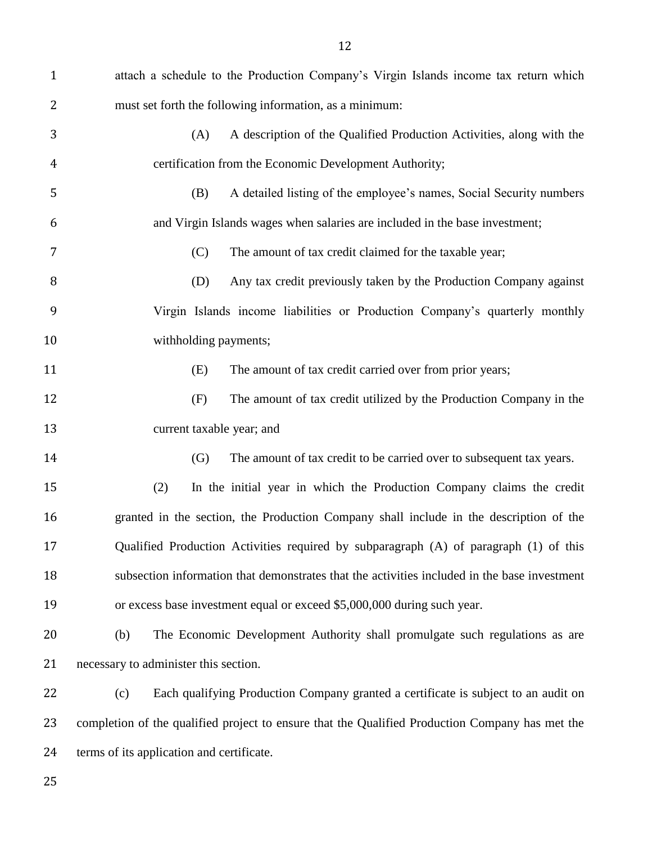| $\mathbf{1}$ | attach a schedule to the Production Company's Virgin Islands income tax return which            |
|--------------|-------------------------------------------------------------------------------------------------|
| 2            | must set forth the following information, as a minimum:                                         |
| 3            | A description of the Qualified Production Activities, along with the<br>(A)                     |
| 4            | certification from the Economic Development Authority;                                          |
| 5            | A detailed listing of the employee's names, Social Security numbers<br>(B)                      |
| 6            | and Virgin Islands wages when salaries are included in the base investment;                     |
| 7            | (C)<br>The amount of tax credit claimed for the taxable year;                                   |
| 8            | Any tax credit previously taken by the Production Company against<br>(D)                        |
| 9            | Virgin Islands income liabilities or Production Company's quarterly monthly                     |
| 10           | withholding payments;                                                                           |
| 11           | The amount of tax credit carried over from prior years;<br>(E)                                  |
| 12           | (F)<br>The amount of tax credit utilized by the Production Company in the                       |
| 13           | current taxable year; and                                                                       |
| 14           | (G)<br>The amount of tax credit to be carried over to subsequent tax years.                     |
| 15           | In the initial year in which the Production Company claims the credit<br>(2)                    |
| 16           | granted in the section, the Production Company shall include in the description of the          |
| 17           | Qualified Production Activities required by subparagraph (A) of paragraph (1) of this           |
| 18           | subsection information that demonstrates that the activities included in the base investment    |
| 19           | or excess base investment equal or exceed \$5,000,000 during such year.                         |
| 20           | The Economic Development Authority shall promulgate such regulations as are<br>(b)              |
| 21           | necessary to administer this section.                                                           |
| 22           | Each qualifying Production Company granted a certificate is subject to an audit on<br>(c)       |
| 23           | completion of the qualified project to ensure that the Qualified Production Company has met the |
| 24           | terms of its application and certificate.                                                       |
| 25           |                                                                                                 |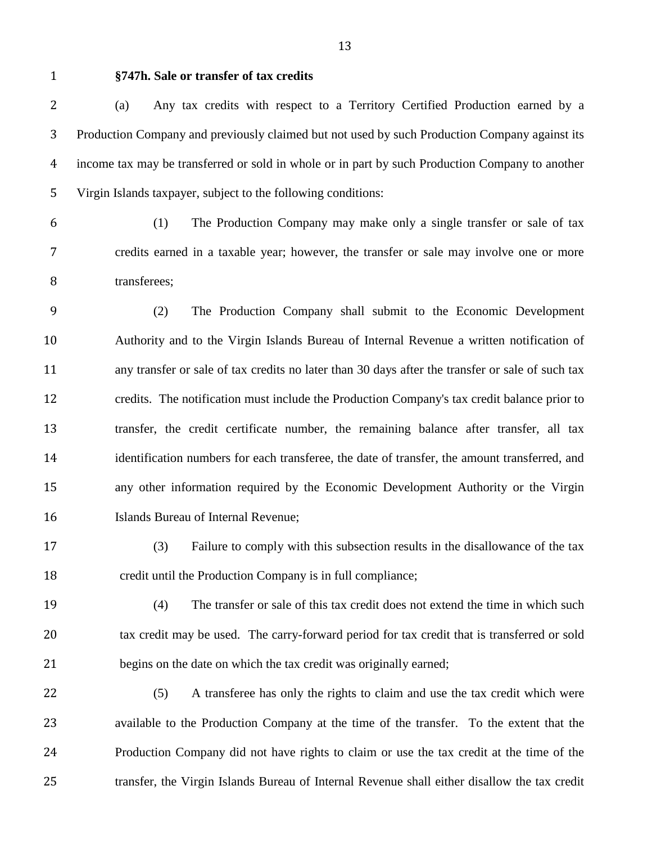#### **§747h. Sale or transfer of tax credits**

 (a) Any tax credits with respect to a Territory Certified Production earned by a Production Company and previously claimed but not used by such Production Company against its income tax may be transferred or sold in whole or in part by such Production Company to another Virgin Islands taxpayer, subject to the following conditions:

 (1) The Production Company may make only a single transfer or sale of tax credits earned in a taxable year; however, the transfer or sale may involve one or more 8 transferees;

 (2) The Production Company shall submit to the Economic Development Authority and to the Virgin Islands Bureau of Internal Revenue a written notification of any transfer or sale of tax credits no later than 30 days after the transfer or sale of such tax credits. The notification must include the Production Company's tax credit balance prior to transfer, the credit certificate number, the remaining balance after transfer, all tax identification numbers for each transferee, the date of transfer, the amount transferred, and any other information required by the Economic Development Authority or the Virgin Islands Bureau of Internal Revenue;

 (3) Failure to comply with this subsection results in the disallowance of the tax credit until the Production Company is in full compliance;

 (4) The transfer or sale of this tax credit does not extend the time in which such 20 tax credit may be used. The carry-forward period for tax credit that is transferred or sold begins on the date on which the tax credit was originally earned;

 (5) A transferee has only the rights to claim and use the tax credit which were available to the Production Company at the time of the transfer. To the extent that the Production Company did not have rights to claim or use the tax credit at the time of the transfer, the Virgin Islands Bureau of Internal Revenue shall either disallow the tax credit